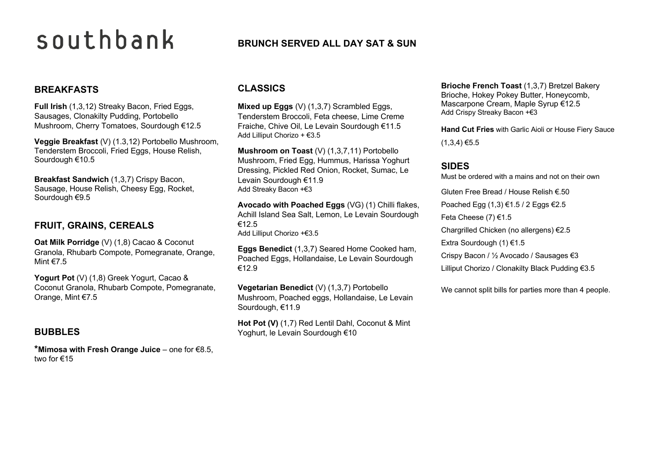# southbank

#### **BREAKFASTS**

**Full Irish** (1,3,12) Streaky Bacon, Fried Eggs, Sausages, Clonakilty Pudding, Portobello Mushroom, Cherry Tomatoes, Sourdough €12.5

**Veggie Breakfast** (V) (1.3,12) Portobello Mushroom, Tenderstem Broccoli, Fried Eggs, House Relish, Sourdough €10.5

**Breakfast Sandwich** (1,3,7) Crispy Bacon, Sausage, House Relish, Cheesy Egg, Rocket, Sourdough €9.5

#### **FRUIT, GRAINS, CEREALS**

**Oat Milk Porridge** (V) (1,8) Cacao & Coconut Granola, Rhubarb Compote, Pomegranate, Orange, Mint €7.5

Yogurt Pot (V) (1,8) Greek Yogurt, Cacao & Coconut Granola, Rhubarb Compote, Pomegranate, Orange, Mint €7.5

#### **BUBBLES**

**\*Mimosa with Fresh Orange Juice** – one for €8.5, two for €15

# **BRUNCH SERVED ALL DAY SAT & SUN**

#### **CLASSICS**

**Mixed up Eggs** (V) (1.3.7) Scrambled Eggs, Tenderstem Broccoli, Feta cheese, Lime Creme Fraiche, Chive Oil, Le Levain Sourdough €11.5 Add Lilliput Chorizo + €3.5

**Mushroom on Toast** (V) (1,3,7,11) Portobello Mushroom, Fried Egg, Hummus, Harissa Yoghurt Dressing, Pickled Red Onion, Rocket, Sumac, Le Levain Sourdough €11.9 Add Streaky Bacon +€3

**Avocado with Poached Eggs** (VG) (1) Chilli flakes, Achill Island Sea Salt, Lemon, Le Levain Sourdough €12.5 Add Lilliput Chorizo +€3.5

**Eggs Benedict** (1,3,7) Seared Home Cooked ham, Poached Eggs, Hollandaise, Le Levain Sourdough €12.9

**Vegetarian Benedict** (V) (1,3,7) Portobello Mushroom, Poached eggs, Hollandaise, Le Levain Sourdough, €11.9

**Hot Pot (V)** (1,7) Red Lentil Dahl, Coconut & Mint Yoghurt, le Levain Sourdough €10

**Brioche French Toast** (1,3,7) Bretzel Bakery Brioche, Hokey Pokey Butter, Honeycomb, Mascarpone Cream, Maple Syrup €12.5 Add Crispy Streaky Bacon +€3

**Hand Cut Fries** with Garlic Aioli or House Fiery Sauce  $(1,3,4)$  €5.5

#### **SIDES**

Must be ordered with a mains and not on their own Gluten Free Bread / House Relish €.50 Poached Egg (1,3) €1.5 / 2 Eggs €2.5 Feta Cheese (7) €1.5 Chargrilled Chicken (no allergens) €2.5 Extra Sourdough (1) €1.5 Crispy Bacon / ½ Avocado / Sausages €3 Lilliput Chorizo / Clonakilty Black Pudding €3.5

We cannot split bills for parties more than 4 people.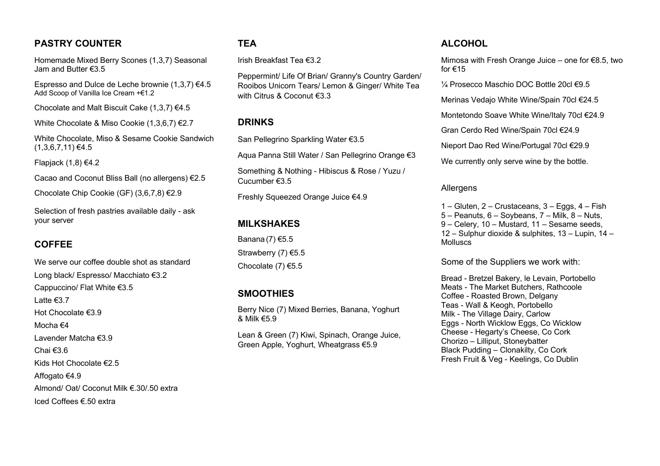### **PASTRY COUNTER**

Homemade Mixed Berry Scones (1,3,7) Seasonal Jam and Butter €3.5

Espresso and Dulce de Leche brownie  $(1,3,7)$   $\in$ 4.5 Add Scoop of Vanilla Ice Cream +€1.2

Chocolate and Malt Biscuit Cake (1,3,7) €4.5

White Chocolate & Miso Cookie (1,3,6,7) €2.7

White Chocolate, Miso & Sesame Cookie Sandwich  $(1,3,6,7,11)$  €4.5

Flapjack  $(1,8) \in 4.2$ 

Cacao and Coconut Bliss Ball (no allergens) €2.5

Chocolate Chip Cookie (GF) (3,6,7,8) €2.9

Selection of fresh pastries available daily - ask your server

# **COFFEE**

We serve our coffee double shot as standard Long black/ Espresso/ Macchiato €3.2 Cappuccino/ Flat White €3.5 Latte €3.7 Hot Chocolate €3.9 Mocha €4 Lavender Matcha €3.9 Chai €3.6 Kids Hot Chocolate €2.5 Affogato €4.9 Almond/ Oat/ Coconut Milk €.30/.50 extra Iced Coffees €.50 extra

#### **TEA**

Irish Breakfast Tea €3.2

Peppermint/ Life Of Brian/ Granny's Country Garden/ Rooibos Unicorn Tears/ Lemon & Ginger/ White Tea with Citrus & Coconut €3.3

#### **DRINKS**

San Pellegrino Sparkling Water €3.5

Aqua Panna Still Water / San Pellegrino Orange €3

Something & Nothing - Hibiscus & Rose / Yuzu / Cucumber €3.5

Freshly Squeezed Orange Juice €4.9

#### **MILKSHAKES**

Banana (7) €5.5 Strawberry (7) €5.5 Chocolate (7) €5.5

#### **SMOOTHIES**

Berry Nice (7) Mixed Berries, Banana, Yoghurt & Milk  $\epsilon$ 5.9

Lean & Green (7) Kiwi, Spinach, Orange Juice, Green Apple, Yoghurt, Wheatgrass €5.9

#### **ALCOHOL**

Mimosa with Fresh Orange Juice – one for €8.5, two for €15

 $\frac{1}{4}$  Prosecco Maschio DOC Bottle 20cl €9.5

Merinas Vedajo White Wine/Spain 70cl €24.5

Montetondo Soave White Wine/Italy 70cl €24.9

Gran Cerdo Red Wine/Spain 70cl €24.9

Nieport Dao Red Wine/Portugal 70cl €29.9

We currently only serve wine by the bottle.

#### Allergens

1 – Gluten, 2 – Crustaceans, 3 – Eggs, 4 – Fish 5 – Peanuts, 6 – Soybeans, 7 – Milk, 8 – Nuts, 9 – Celery, 10 – Mustard, 11 – Sesame seeds, 12 – Sulphur dioxide & sulphites, 13 – Lupin, 14 – **Molluscs** 

Some of the Suppliers we work with:

Bread - Bretzel Bakery, le Levain, Portobello Meats - The Market Butchers, Rathcoole Coffee - Roasted Brown, Delgany Teas - Wall & Keogh, Portobello Milk - The Village Dairy, Carlow Eggs - North Wicklow Eggs, Co Wicklow Cheese - Hegarty's Cheese, Co Cork Chorizo – Lilliput, Stoneybatter Black Pudding – Clonakilty, Co Cork Fresh Fruit & Veg - Keelings, Co Dublin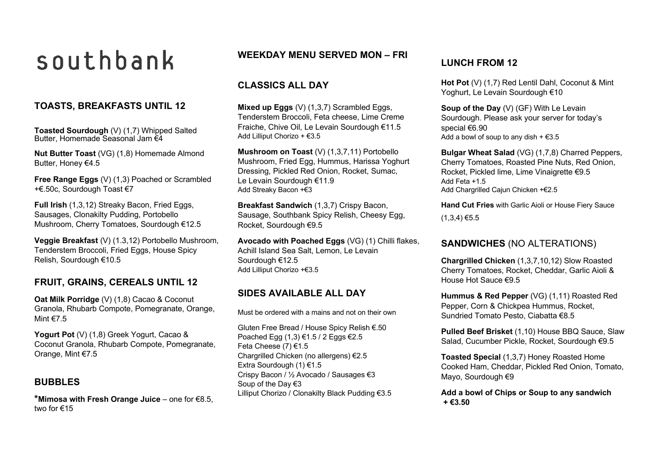# southbank

### **TOASTS, BREAKFASTS UNTIL 12**

**Toasted Sourdough** (V) (1,7) Whipped Salted Butter, Homemade Seasonal Jam €4

**Nut Butter Toast** (VG) (1,8) Homemade Almond Butter, Honey €4.5

**Free Range Eggs** (V) (1,3) Poached or Scrambled +€.50c, Sourdough Toast €7

**Full Irish** (1,3,12) Streaky Bacon, Fried Eggs, Sausages, Clonakilty Pudding, Portobello Mushroom, Cherry Tomatoes, Sourdough €12.5

**Veggie Breakfast** (V) (1.3,12) Portobello Mushroom, Tenderstem Broccoli, Fried Eggs, House Spicy Relish, Sourdough €10.5

#### **FRUIT, GRAINS, CEREALS UNTIL 12**

**Oat Milk Porridge** (V) (1,8) Cacao & Coconut Granola, Rhubarb Compote, Pomegranate, Orange, Mint €7.5

Yogurt Pot (V) (1,8) Greek Yogurt, Cacao & Coconut Granola, Rhubarb Compote, Pomegranate, Orange, Mint €7.5

#### **BUBBLES**

**\*Mimosa with Fresh Orange Juice** – one for €8.5, two for €15

### **WEEKDAY MENU SERVED MON – FRI**

#### **CLASSICS ALL DAY**

**Mixed up Eggs** (V) (1,3,7) Scrambled Eggs, Tenderstem Broccoli, Feta cheese, Lime Creme Fraiche, Chive Oil, Le Levain Sourdough €11.5 Add Lilliput Chorizo + €3.5

**Mushroom on Toast** (V) (1,3,7,11) Portobello Mushroom, Fried Egg, Hummus, Harissa Yoghurt Dressing, Pickled Red Onion, Rocket, Sumac, Le Levain Sourdough €11.9 Add Streaky Bacon +€3

**Breakfast Sandwich** (1,3,7) Crispy Bacon, Sausage, Southbank Spicy Relish, Cheesy Egg, Rocket, Sourdough €9.5

**Avocado with Poached Eggs** (VG) (1) Chilli flakes, Achill Island Sea Salt, Lemon, Le Levain Sourdough €12.5 Add Lilliput Chorizo +€3.5

#### **SIDES AVAILABLE ALL DAY**

Must be ordered with a mains and not on their own

Gluten Free Bread / House Spicy Relish €.50 Poached Egg (1,3) €1.5 / 2 Eggs €2.5 Feta Cheese (7) €1.5 Chargrilled Chicken (no allergens) €2.5 Extra Sourdough (1) €1.5 Crispy Bacon / ½ Avocado / Sausages €3 Soup of the Day €3 Lilliput Chorizo / Clonakilty Black Pudding €3.5

# **LUNCH FROM 12**

**Hot Pot** (V) (1,7) Red Lentil Dahl, Coconut & Mint Yoghurt, Le Levain Sourdough €10

**Soup of the Day** (V) (GF) With Le Levain Sourdough. Please ask your server for today's special €6.90 Add a bowl of soup to any dish  $+$   $\in$ 3.5

**Bulgar Wheat Salad** (VG) (1,7,8) Charred Peppers, Cherry Tomatoes, Roasted Pine Nuts, Red Onion, Rocket, Pickled lime, Lime Vinaigrette €9.5 Add Feta +1.5 Add Chargrilled Cajun Chicken +€2.5

**Hand Cut Fries** with Garlic Aioli or House Fiery Sauce  $(1,3,4)$  €5.5

#### **SANDWICHES** (NO ALTERATIONS)

**Chargrilled Chicken** (1,3,7,10,12) Slow Roasted Cherry Tomatoes, Rocket, Cheddar, Garlic Aioli & House Hot Sauce €9.5

**Hummus & Red Pepper** (VG) (1,11) Roasted Red Pepper, Corn & Chickpea Hummus, Rocket, Sundried Tomato Pesto, Ciabatta €8.5

**Pulled Beef Brisket** (1,10) House BBQ Sauce, Slaw Salad, Cucumber Pickle, Rocket, Sourdough €9.5

**Toasted Special** (1,3,7) Honey Roasted Home Cooked Ham, Cheddar, Pickled Red Onion, Tomato, Mayo, Sourdough €9

**Add a bowl of Chips or Soup to any sandwich + €3.50**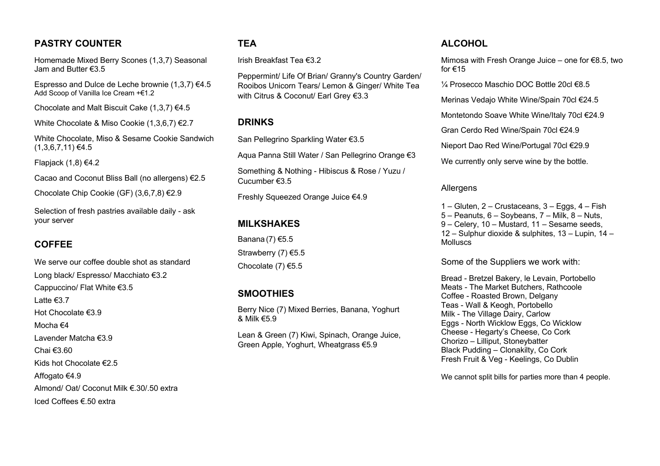### **PASTRY COUNTER**

Homemade Mixed Berry Scones (1,3,7) Seasonal Jam and Butter €3.5

Espresso and Dulce de Leche brownie  $(1,3,7)$   $\in$ 4.5 Add Scoop of Vanilla Ice Cream +€1.2

Chocolate and Malt Biscuit Cake (1,3,7) €4.5

White Chocolate & Miso Cookie (1,3,6,7) €2.7

White Chocolate, Miso & Sesame Cookie Sandwich  $(1,3,6,7,11)$  €4.5

Flapjack  $(1,8) \in 4.2$ 

Cacao and Coconut Bliss Ball (no allergens) €2.5

Chocolate Chip Cookie (GF) (3,6,7,8) €2.9

Selection of fresh pastries available daily - ask your server

# **COFFEE**

We serve our coffee double shot as standard Long black/ Espresso/ Macchiato €3.2 Cappuccino/ Flat White €3.5 Latte €3.7 Hot Chocolate €3.9 Mocha €4 Lavender Matcha €3.9 Chai €3.60 Kids hot Chocolate €2.5 Affogato €4.9 Almond/ Oat/ Coconut Milk €.30/.50 extra Iced Coffees €.50 extra

#### **TEA**

Irish Breakfast Tea €3.2

Peppermint/ Life Of Brian/ Granny's Country Garden/ Rooibos Unicorn Tears/ Lemon & Ginger/ White Tea with Citrus & Coconut/ Earl Grey €3.3

#### **DRINKS**

San Pellegrino Sparkling Water €3.5

Aqua Panna Still Water / San Pellegrino Orange €3

Something & Nothing - Hibiscus & Rose / Yuzu / Cucumber €3.5

Freshly Squeezed Orange Juice €4.9

#### **MILKSHAKES**

Banana (7) €5.5 Strawberry (7) €5.5 Chocolate (7) €5.5

#### **SMOOTHIES**

Berry Nice (7) Mixed Berries, Banana, Yoghurt & Milk €5.9

Lean & Green (7) Kiwi, Spinach, Orange Juice, Green Apple, Yoghurt, Wheatgrass €5.9

#### **ALCOHOL**

Mimosa with Fresh Orange Juice – one for €8.5, two for €15

 $\frac{1}{4}$  Prosecco Maschio DOC Bottle 20cl €8.5

Merinas Vedajo White Wine/Spain 70cl €24.5

Montetondo Soave White Wine/Italy 70cl €24.9

Gran Cerdo Red Wine/Spain 70cl €24.9

Nieport Dao Red Wine/Portugal 70cl €29.9

We currently only serve wine by the bottle.

#### Allergens

1 – Gluten, 2 – Crustaceans, 3 – Eggs, 4 – Fish 5 – Peanuts, 6 – Soybeans, 7 – Milk, 8 – Nuts, 9 – Celery, 10 – Mustard, 11 – Sesame seeds, 12 – Sulphur dioxide & sulphites, 13 – Lupin, 14 – **Molluscs** 

Some of the Suppliers we work with:

Bread - Bretzel Bakery, le Levain, Portobello Meats - The Market Butchers, Rathcoole Coffee - Roasted Brown, Delgany Teas - Wall & Keogh, Portobello Milk - The Village Dairy, Carlow Eggs - North Wicklow Eggs, Co Wicklow Cheese - Hegarty's Cheese, Co Cork Chorizo – Lilliput, Stoneybatter Black Pudding – Clonakilty, Co Cork Fresh Fruit & Veg - Keelings, Co Dublin

We cannot split bills for parties more than 4 people.